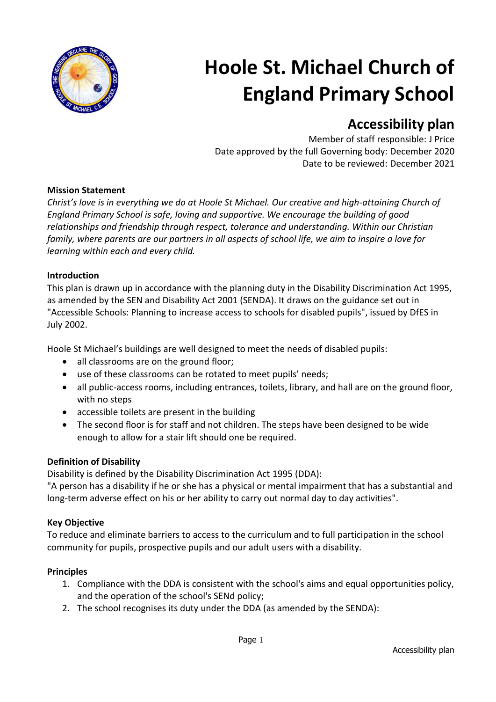

# **Hoole St. Michael Church of England Primary School**

# **Accessibility plan**

Member of staff responsible: J Price Date approved by the full Governing body: December 2020 Date to be reviewed: December 2021

#### **Mission Statement**

*Christ's love is in everything we do at Hoole St Michael. Our creative and high-attaining Church of England Primary School is safe, loving and supportive. We encourage the building of good relationships and friendship through respect, tolerance and understanding. Within our Christian family, where parents are our partners in all aspects of school life, we aim to inspire a love for learning within each and every child.*

# **Introduction**

This plan is drawn up in accordance with the planning duty in the Disability Discrimination Act 1995, as amended by the SEN and Disability Act 2001 (SENDA). It draws on the guidance set out in "Accessible Schools: Planning to increase access to schools for disabled pupils", issued by DfES in July 2002.

Hoole St Michael's buildings are well designed to meet the needs of disabled pupils:

- all classrooms are on the ground floor;
- use of these classrooms can be rotated to meet pupils' needs;
- all public-access rooms, including entrances, toilets, library, and hall are on the ground floor, with no steps
- accessible toilets are present in the building
- The second floor is for staff and not children. The steps have been designed to be wide enough to allow for a stair lift should one be required.

# **Definition of Disability**

Disability is defined by the Disability Discrimination Act 1995 (DDA):

"A person has a disability if he or she has a physical or mental impairment that has a substantial and long-term adverse effect on his or her ability to carry out normal day to day activities".

#### **Key Objective**

To reduce and eliminate barriers to access to the curriculum and to full participation in the school community for pupils, prospective pupils and our adult users with a disability.

#### **Principles**

- 1. Compliance with the DDA is consistent with the school's aims and equal opportunities policy, and the operation of the school's SENd policy;
- 2. The school recognises its duty under the DDA (as amended by the SENDA):